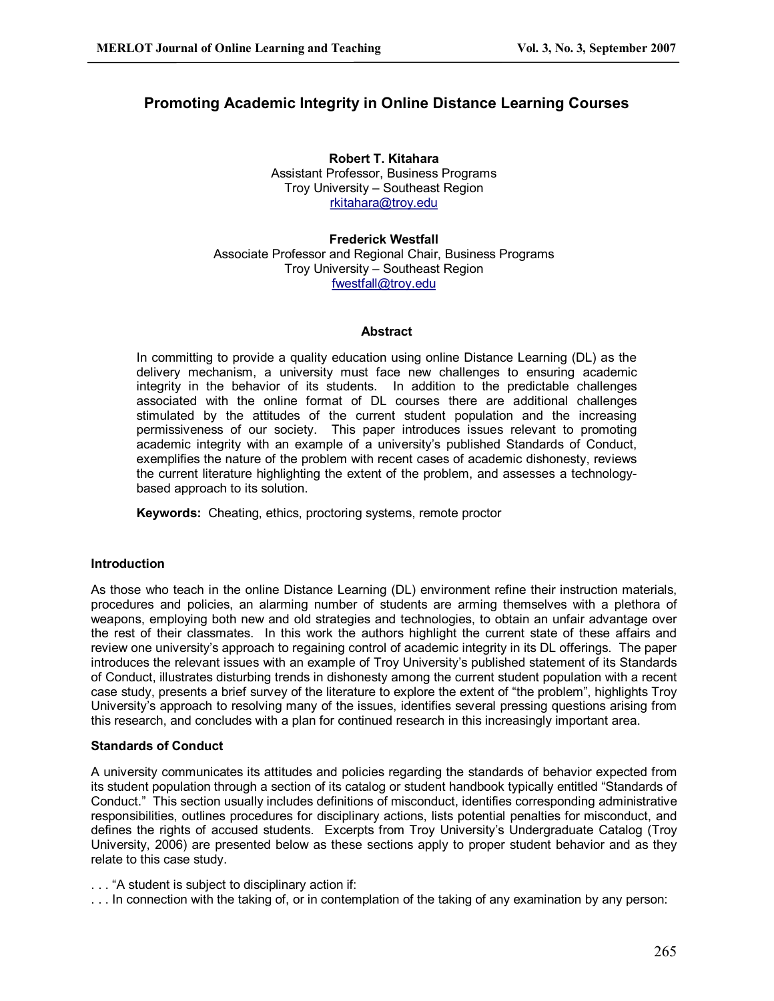# **Promoting Academic Integrity in Online Distance Learning Courses**

**Robert T. Kitahara** Assistant Professor, Business Programs Troy University – Southeast Region [rkitahara@troy.edu](mailto:rkitahara@troy.edu)

**Frederick Westfall** Associate Professor and Regional Chair, Business Programs Troy University – Southeast Region [fwestfall@troy.edu](mailto:fwestfall@troy.edu)

#### **Abstract**

In committing to provide a quality education using online Distance Learning (DL) as the delivery mechanism, a university must face new challenges to ensuring academic integrity in the behavior of its students. In addition to the predictable challenges associated with the online format of DL courses there are additional challenges stimulated by the attitudes of the current student population and the increasing permissiveness of our society. This paper introduces issues relevant to promoting academic integrity with an example of a university's published Standards of Conduct, exemplifies the nature of the problem with recent cases of academic dishonesty, reviews the current literature highlighting the extent of the problem, and assesses a technology based approach to its solution.

**Keywords:** Cheating, ethics, proctoring systems, remote proctor

### **Introduction**

As those who teach in the online Distance Learning (DL) environment refine their instruction materials, procedures and policies, an alarming number of students are arming themselves with a plethora of weapons, employing both new and old strategies and technologies, to obtain an unfair advantage over the rest of their classmates. In this work the authors highlight the current state of these affairs and review one university's approach to regaining control of academic integrity in its DL offerings. The paper introduces the relevant issues with an example of Troy University's published statement of its Standards of Conduct, illustrates disturbing trends in dishonesty among the current student population with a recent case study, presents a brief survey of the literature to explore the extent of "the problem", highlights Troy University's approach to resolving many of the issues, identifies several pressing questions arising from this research, and concludes with a plan for continued research in this increasingly important area.

### **Standards of Conduct**

A university communicates its attitudes and policies regarding the standards of behavior expected from its student population through a section of its catalog or student handbook typically entitled "Standards of Conduct." This section usually includes definitions of misconduct, identifies corresponding administrative responsibilities, outlines procedures for disciplinary actions, lists potential penalties for misconduct, and defines the rights of accused students. Excerpts from Troy University's Undergraduate Catalog (Troy University, 2006) are presented below as these sections apply to proper student behavior and as they relate to this case study.

. . . "A student is subject to disciplinary action if:

. . . In connection with the taking of, or in contemplation of the taking of any examination by any person: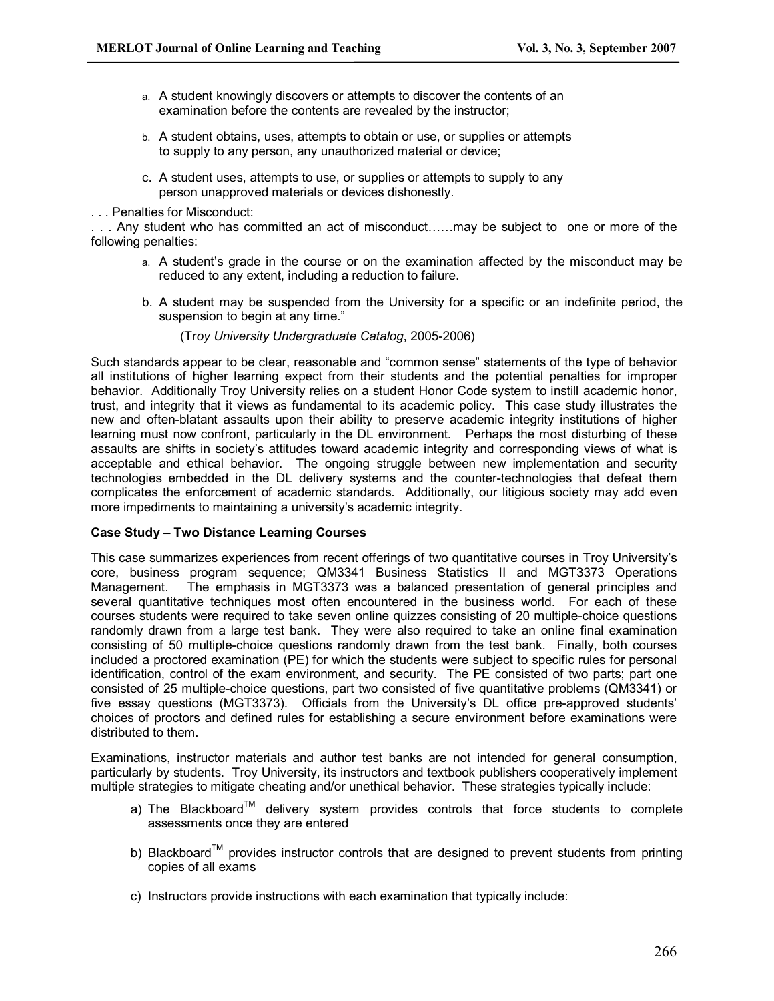- a. A student knowingly discovers or attempts to discover the contents of an examination before the contents are revealed by the instructor;
- b. A student obtains, uses, attempts to obtain or use, or supplies or attempts to supply to any person, any unauthorized material or device;
- c. A student uses, attempts to use, or supplies or attempts to supply to any person unapproved materials or devices dishonestly.

. . . Penalties for Misconduct:

. . . Any student who has committed an act of misconduct……may be subject to one or more of the following penalties:

- a. A student's grade in the course or on the examination affected by the misconduct may be reduced to any extent, including a reduction to failure.
- b. A student may be suspended from the University for a specific or an indefinite period, the suspension to begin at any time."
	- (Troy University Undergraduate Catalog, 2005-2006)

Such standards appear to be clear, reasonable and "common sense" statements of the type of behavior all institutions of higher learning expect from their students and the potential penalties for improper behavior. Additionally Troy University relies on a student Honor Code system to instill academic honor, trust, and integrity that it views as fundamental to its academic policy. This case study illustrates the new and often-blatant assaults upon their ability to preserve academic integrity institutions of higher learning must now confront, particularly in the DL environment. Perhaps the most disturbing of these assaults are shifts in society's attitudes toward academic integrity and corresponding views of what is acceptable and ethical behavior. The ongoing struggle between new implementation and security technologies embedded in the DL delivery systems and the counter-technologies that defeat them complicates the enforcement of academic standards. Additionally, our litigious society may add even more impediments to maintaining a university's academic integrity.

### **Case Study – Two Distance Learning Courses**

This case summarizes experiences from recent offerings of two quantitative courses in Troy University's core, business program sequence; QM3341 Business Statistics II and MGT3373 Operations Management. The emphasis in MGT3373 was a balanced presentation of general principles and several quantitative techniques most often encountered in the business world. For each of these courses students were required to take seven online quizzes consisting of 20 multiple-choice questions randomly drawn from a large test bank. They were also required to take an online final examination consisting of 50 multiple-choice questions randomly drawn from the test bank. Finally, both courses included a proctored examination (PE) for which the students were subject to specific rules for personal identification, control of the exam environment, and security. The PE consisted of two parts; part one consisted of 25 multiple-choice questions, part two consisted of five quantitative problems (QM3341) or five essay questions (MGT3373). Officials from the University's DL office pre-approved students' choices of proctors and defined rules for establishing a secure environment before examinations were distributed to them.

Examinations, instructor materials and author test banks are not intended for general consumption, particularly by students. Troy University, its instructors and textbook publishers cooperatively implement multiple strategies to mitigate cheating and/or unethical behavior. These strategies typically include:

- a) The Blackboard<sup>TM</sup> delivery system provides controls that force students to complete assessments once they are entered
- b) Blackboard<sup>TM</sup> provides instructor controls that are designed to prevent students from printing copies of all exams
- c) Instructors provide instructions with each examination that typically include: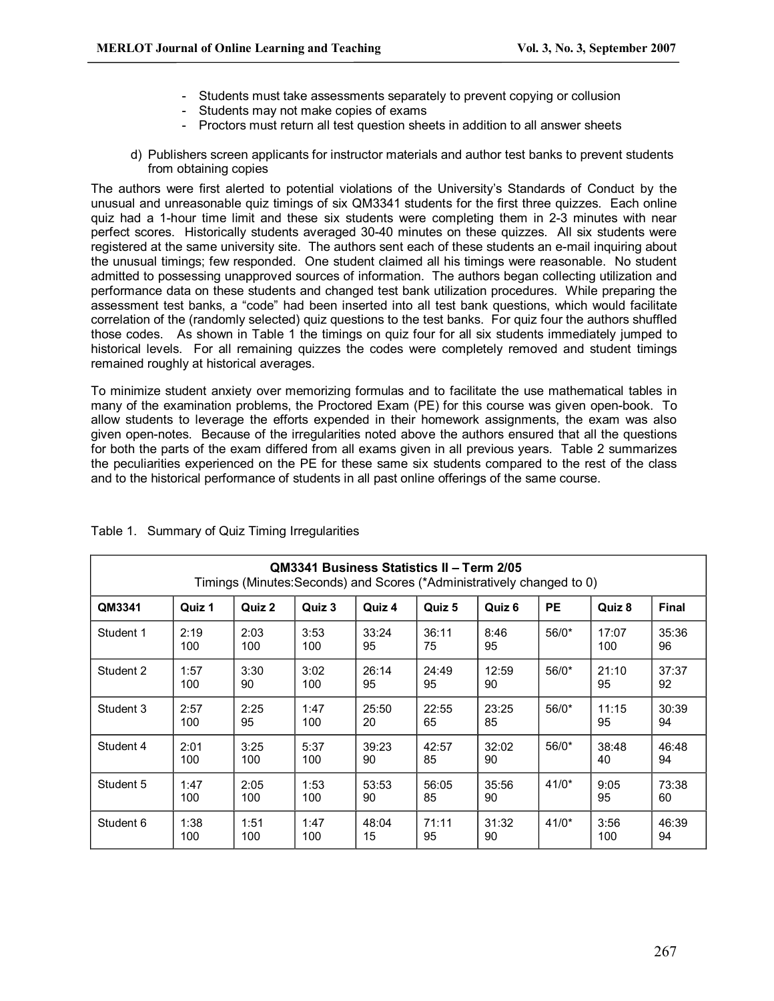- Students must take assessments separately to prevent copying or collusion
- Students may not make copies of exams
- Proctors must return all test question sheets in addition to all answer sheets
- d) Publishers screen applicants for instructor materials and author test banks to prevent students from obtaining copies

The authors were first alerted to potential violations of the University's Standards of Conduct by the unusual and unreasonable quiz timings of six QM3341 students for the first three quizzes. Each online quiz had a 1-hour time limit and these six students were completing them in 2-3 minutes with near perfect scores. Historically students averaged 3040 minutes on these quizzes. All six students were registered at the same university site. The authors sent each of these students an e-mail inquiring about the unusual timings; few responded. One student claimed all his timings were reasonable. No student admitted to possessing unapproved sources of information. The authors began collecting utilization and performance data on these students and changed test bank utilization procedures. While preparing the assessment test banks, a "code" had been inserted into all test bank questions, which would facilitate correlation of the (randomly selected) quiz questions to the test banks. For quiz four the authors shuffled those codes. As shown in Table 1 the timings on quiz four for all six students immediately jumped to historical levels. For all remaining quizzes the codes were completely removed and student timings remained roughly at historical averages.

To minimize student anxiety over memorizing formulas and to facilitate the use mathematical tables in many of the examination problems, the Proctored Exam (PE) for this course was given open-book. To allow students to leverage the efforts expended in their homework assignments, the exam was also given open-notes. Because of the irregularities noted above the authors ensured that all the questions for both the parts of the exam differed from all exams given in all previous years. Table 2 summarizes the peculiarities experienced on the PE for these same six students compared to the rest of the class and to the historical performance of students in all past online offerings of the same course.

| QM3341 Business Statistics II - Term 2/05<br>Timings (Minutes: Seconds) and Scores (*Administratively changed to 0) |             |             |             |             |             |             |         |              |             |
|---------------------------------------------------------------------------------------------------------------------|-------------|-------------|-------------|-------------|-------------|-------------|---------|--------------|-------------|
| QM3341                                                                                                              | Quiz 1      | Quiz 2      | Quiz 3      | Quiz 4      | Quiz 5      | Quiz 6      | РE      | Quiz 8       | Final       |
| Student 1                                                                                                           | 2:19<br>100 | 2:03<br>100 | 3:53<br>100 | 33:24<br>95 | 36:11<br>75 | 8:46<br>95  | $56/0*$ | 17:07<br>100 | 35:36<br>96 |
| Student 2                                                                                                           | 1:57<br>100 | 3:30<br>90  | 3:02<br>100 | 26:14<br>95 | 24:49<br>95 | 12:59<br>90 | $56/0*$ | 21:10<br>95  | 37:37<br>92 |
| Student 3                                                                                                           | 2:57<br>100 | 2:25<br>95  | 1:47<br>100 | 25:50<br>20 | 22:55<br>65 | 23:25<br>85 | $56/0*$ | 11:15<br>95  | 30:39<br>94 |
| Student 4                                                                                                           | 2:01<br>100 | 3:25<br>100 | 5:37<br>100 | 39:23<br>90 | 42:57<br>85 | 32:02<br>90 | $56/0*$ | 38:48<br>40  | 46:48<br>94 |
| Student 5                                                                                                           | 1:47<br>100 | 2:05<br>100 | 1:53<br>100 | 53:53<br>90 | 56:05<br>85 | 35:56<br>90 | $41/0*$ | 9:05<br>95   | 73:38<br>60 |
| Student 6                                                                                                           | 1:38<br>100 | 1:51<br>100 | 1:47<br>100 | 48:04<br>15 | 71:11<br>95 | 31:32<br>90 | $41/0*$ | 3:56<br>100  | 46:39<br>94 |

Table 1. Summary of Quiz Timing Irregularities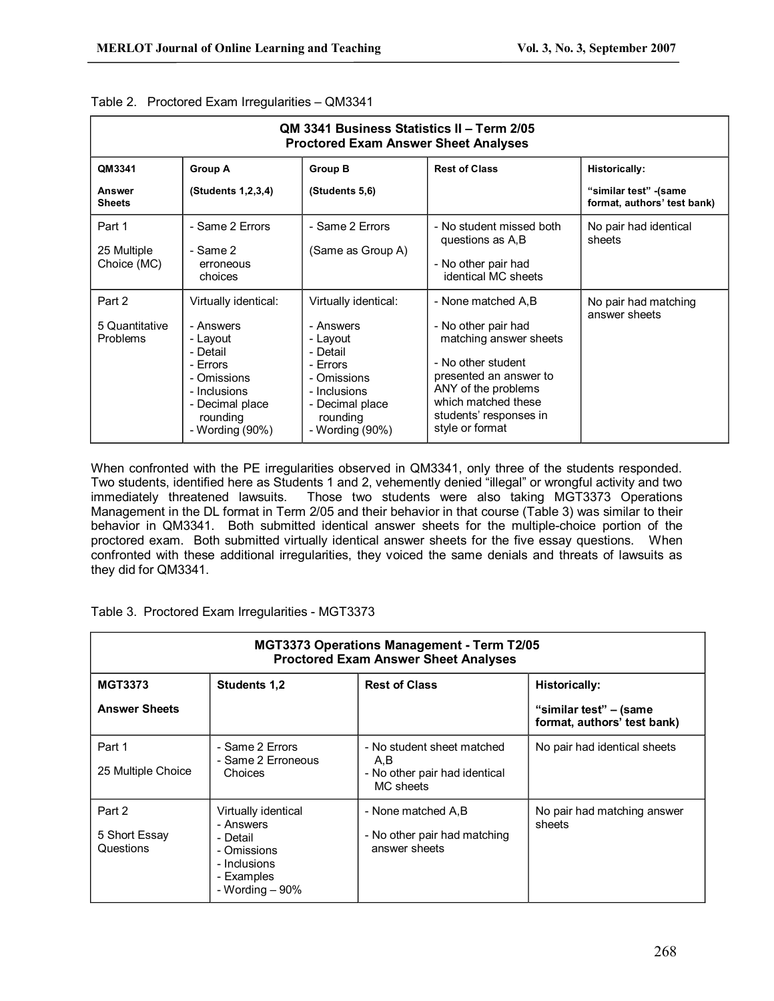| QM 3341 Business Statistics II – Term 2/05<br><b>Proctored Exam Answer Sheet Analyses</b> |                                                                                                                                                        |                                                                                                                                                        |                                                                                                                                                                                                                |                                                       |  |
|-------------------------------------------------------------------------------------------|--------------------------------------------------------------------------------------------------------------------------------------------------------|--------------------------------------------------------------------------------------------------------------------------------------------------------|----------------------------------------------------------------------------------------------------------------------------------------------------------------------------------------------------------------|-------------------------------------------------------|--|
| QM3341                                                                                    | <b>Group A</b>                                                                                                                                         | <b>Group B</b>                                                                                                                                         | <b>Rest of Class</b>                                                                                                                                                                                           | <b>Historically:</b>                                  |  |
| <b>Answer</b><br><b>Sheets</b>                                                            | (Students 1,2,3,4)                                                                                                                                     | (Students 5,6)                                                                                                                                         |                                                                                                                                                                                                                | "similar test" - (same<br>format, authors' test bank) |  |
| Part 1<br>25 Multiple<br>Choice (MC)                                                      | - Same 2 Errors<br>- Same 2<br>erroneous<br>choices                                                                                                    | - Same 2 Errors<br>(Same as Group A)                                                                                                                   | - No student missed both<br>questions as A,B<br>- No other pair had<br>identical MC sheets                                                                                                                     | No pair had identical<br>sheets                       |  |
| Part 2<br>5 Quantitative<br><b>Problems</b>                                               | Virtually identical:<br>- Answers<br>- Lavout<br>- Detail<br>- Frrors<br>- Omissions<br>- Inclusions<br>- Decimal place<br>rounding<br>- Wording (90%) | Virtually identical:<br>- Answers<br>- Lavout<br>- Detail<br>- Errors<br>- Omissions<br>- Inclusions<br>- Decimal place<br>rounding<br>- Wording (90%) | - None matched A.B<br>- No other pair had<br>matching answer sheets<br>- No other student<br>presented an answer to<br>ANY of the problems<br>which matched these<br>students' responses in<br>style or format | No pair had matching<br>answer sheets                 |  |

### Table 2. Proctored Exam Irregularities – QM3341

When confronted with the PE irregularities observed in QM3341, only three of the students responded. Two students, identified here as Students 1 and 2, vehemently denied "illegal" or wrongful activity and two immediately threatened lawsuits. Those two students were also taking MGT3373 Operations Management in the DL format in Term 2/05 and their behavior in that course (Table 3) was similar to their behavior in QM3341. Both submitted identical answer sheets for the multiple-choice portion of the proctored exam. Both submitted virtually identical answer sheets for the five essay questions. When confronted with these additional irregularities, they voiced the same denials and threats of lawsuits as they did for QM3341.

|  |  | Table 3. Proctored Exam Irregularities - MGT3373 |  |
|--|--|--------------------------------------------------|--|
|--|--|--------------------------------------------------|--|

| MGT3373 Operations Management - Term T2/05<br><b>Proctored Exam Answer Sheet Analyses</b> |                                                                                                               |                                                                                 |                                                                               |  |  |
|-------------------------------------------------------------------------------------------|---------------------------------------------------------------------------------------------------------------|---------------------------------------------------------------------------------|-------------------------------------------------------------------------------|--|--|
| <b>MGT3373</b><br><b>Answer Sheets</b>                                                    | <b>Students 1.2</b>                                                                                           | <b>Rest of Class</b>                                                            | <b>Historically:</b><br>"similar test" – (same<br>format, authors' test bank) |  |  |
| Part 1<br>25 Multiple Choice                                                              | - Same 2 Errors<br>- Same 2 Erroneous<br>Choices                                                              | - No student sheet matched<br>A,B<br>- No other pair had identical<br>MC sheets | No pair had identical sheets                                                  |  |  |
| Part 2<br>5 Short Essay<br>Questions                                                      | Virtually identical<br>- Answers<br>- Detail<br>- Omissions<br>- Inclusions<br>- Examples<br>- Wording $-90%$ | - None matched A,B<br>- No other pair had matching<br>answer sheets             | No pair had matching answer<br>sheets                                         |  |  |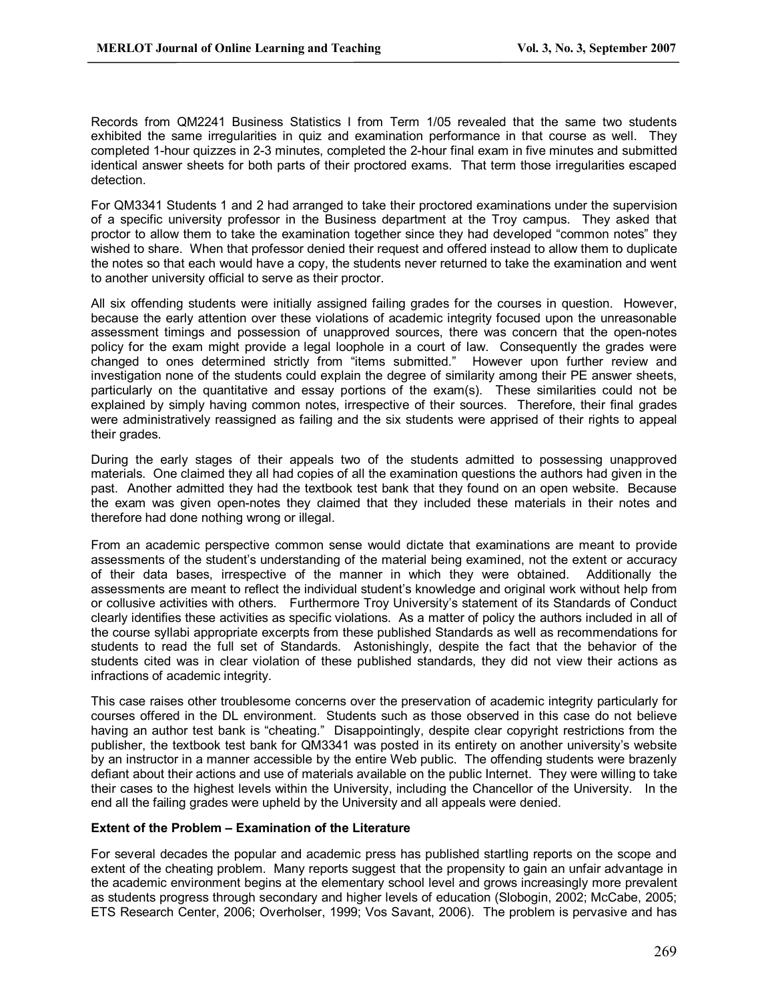Records from QM2241 Business Statistics I from Term 1/05 revealed that the same two students exhibited the same irregularities in quiz and examination performance in that course as well. They completed 1-hour quizzes in 2-3 minutes, completed the 2-hour final exam in five minutes and submitted identical answer sheets for both parts of their proctored exams. That term those irregularities escaped detection.

For QM3341 Students 1 and 2 had arranged to take their proctored examinations under the supervision of a specific university professor in the Business department at the Troy campus. They asked that proctor to allow them to take the examination together since they had developed "common notes" they wished to share. When that professor denied their request and offered instead to allow them to duplicate the notes so that each would have a copy, the students never returned to take the examination and went to another university official to serve as their proctor.

All six offending students were initially assigned failing grades for the courses in question. However, because the early attention over these violations of academic integrity focused upon the unreasonable assessment timings and possession of unapproved sources, there was concern that the open-notes policy for the exam might provide a legal loophole in a court of law. Consequently the grades were changed to ones determined strictly from "items submitted." However upon further review and investigation none of the students could explain the degree of similarity among their PE answer sheets, particularly on the quantitative and essay portions of the exam(s). These similarities could not be explained by simply having common notes, irrespective of their sources. Therefore, their final grades were administratively reassigned as failing and the six students were apprised of their rights to appeal their grades.

During the early stages of their appeals two of the students admitted to possessing unapproved materials. One claimed they all had copies of all the examination questions the authors had given in the past. Another admitted they had the textbook test bank that they found on an open website. Because the exam was given open-notes they claimed that they included these materials in their notes and therefore had done nothing wrong or illegal.

From an academic perspective common sense would dictate that examinations are meant to provide assessments of the student's understanding of the material being examined, not the extent or accuracy of their data bases, irrespective of the manner in which they were obtained. Additionally the assessments are meant to reflect the individual student's knowledge and original work without help from or collusive activities with others. Furthermore Troy University's statement of its Standards of Conduct clearly identifies these activities as specific violations. As a matter of policy the authors included in all of the course syllabi appropriate excerpts from these published Standards as well as recommendations for students to read the full set of Standards. Astonishingly, despite the fact that the behavior of the students cited was in clear violation of these published standards, they did not view their actions as infractions of academic integrity.

This case raises other troublesome concerns over the preservation of academic integrity particularly for courses offered in the DL environment. Students such as those observed in this case do not believe having an author test bank is "cheating." Disappointingly, despite clear copyright restrictions from the publisher, the textbook test bank for QM3341 was posted in its entirety on another university's website by an instructor in a manner accessible by the entire Web public. The offending students were brazenly defiant about their actions and use of materials available on the public Internet. They were willing to take their cases to the highest levels within the University, including the Chancellor of the University. In the end all the failing grades were upheld by the University and all appeals were denied.

## **Extent of the Problem – Examination of the Literature**

For several decades the popular and academic press has published startling reports on the scope and extent of the cheating problem. Many reports suggest that the propensity to gain an unfair advantage in the academic environment begins at the elementary school level and grows increasingly more prevalent as students progress through secondary and higher levels of education (Slobogin, 2002; McCabe, 2005; ETS Research Center, 2006; Overholser, 1999; Vos Savant, 2006). The problem is pervasive and has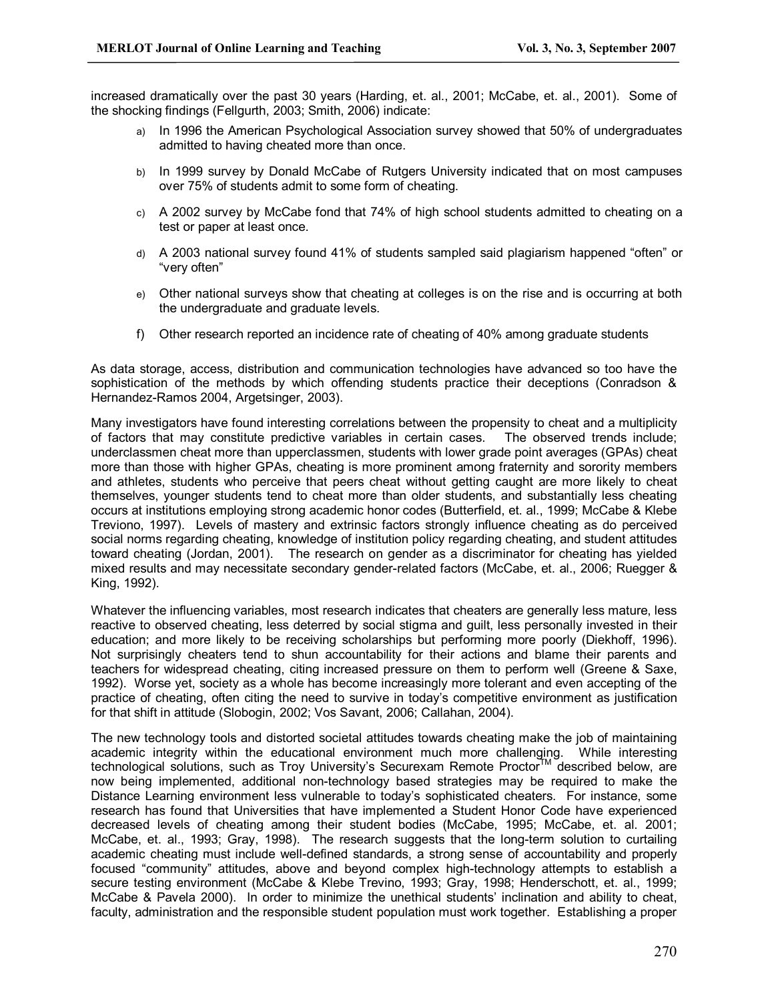increased dramatically over the past 30 years (Harding, et. al., 2001; McCabe, et. al., 2001). Some of the shocking findings (Fellgurth, 2003; Smith, 2006) indicate:

- a) In 1996 the American Psychological Association survey showed that 50% of undergraduates admitted to having cheated more than once.
- b) In 1999 survey by Donald McCabe of Rutgers University indicated that on most campuses over 75% of students admit to some form of cheating.
- c) A 2002 survey by McCabe fond that 74% of high school students admitted to cheating on a test or paper at least once.
- d) A 2003 national survey found 41% of students sampled said plagiarism happened "often" or "very often"
- e) Other national surveys show that cheating at colleges is on the rise and is occurring at both the undergraduate and graduate levels.
- f) Other research reported an incidence rate of cheating of 40% among graduate students

As data storage, access, distribution and communication technologies have advanced so too have the sophistication of the methods by which offending students practice their deceptions (Conradson & Hernandez-Ramos 2004, Argetsinger, 2003).

Many investigators have found interesting correlations between the propensity to cheat and a multiplicity of factors that may constitute predictive variables in certain cases. The observed trends include; underclassmen cheat more than upperclassmen, students with lower grade point averages (GPAs) cheat more than those with higher GPAs, cheating is more prominent among fraternity and sorority members and athletes, students who perceive that peers cheat without getting caught are more likely to cheat themselves, younger students tend to cheat more than older students, and substantially less cheating occurs at institutions employing strong academic honor codes (Butterfield, et. al., 1999; McCabe & Klebe Treviono, 1997). Levels of mastery and extrinsic factors strongly influence cheating as do perceived social norms regarding cheating, knowledge of institution policy regarding cheating, and student attitudes toward cheating (Jordan, 2001). The research on gender as a discriminator for cheating has yielded mixed results and may necessitate secondary gender-related factors (McCabe, et. al., 2006; Ruegger & King, 1992).

Whatever the influencing variables, most research indicates that cheaters are generally less mature, less reactive to observed cheating, less deterred by social stigma and guilt, less personally invested in their education; and more likely to be receiving scholarships but performing more poorly (Diekhoff, 1996). Not surprisingly cheaters tend to shun accountability for their actions and blame their parents and teachers for widespread cheating, citing increased pressure on them to perform well (Greene & Saxe, 1992). Worse yet, society as a whole has become increasingly more tolerant and even accepting of the practice of cheating, often citing the need to survive in today's competitive environment as justification for that shift in attitude (Slobogin, 2002; Vos Savant, 2006; Callahan, 2004).

The new technology tools and distorted societal attitudes towards cheating make the job of maintaining academic integrity within the educational environment much more challenging. While interesting technological solutions, such as Troy University's Securexam Remote Proctor™ described below, are now being implemented, additional non-technology based strategies may be required to make the Distance Learning environment less vulnerable to today's sophisticated cheaters. For instance, some research has found that Universities that have implemented a Student Honor Code have experienced decreased levels of cheating among their student bodies (McCabe, 1995; McCabe, et. al. 2001; McCabe, et. al., 1993; Gray, 1998). The research suggests that the long-term solution to curtailing academic cheating must include well-defined standards, a strong sense of accountability and properly focused "community" attitudes, above and beyond complex high-technology attempts to establish a secure testing environment (McCabe & Klebe Trevino, 1993; Gray, 1998; Henderschott, et. al., 1999; McCabe & Pavela 2000). In order to minimize the unethical students' inclination and ability to cheat, faculty, administration and the responsible student population must work together. Establishing a proper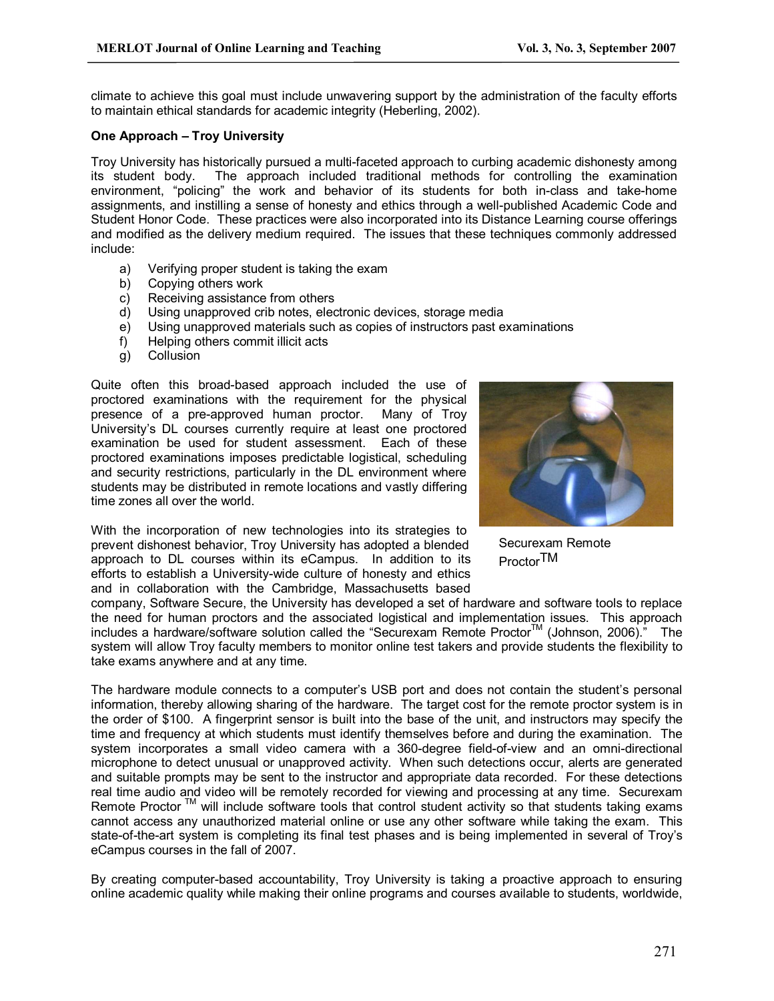climate to achieve this goal must include unwavering support by the administration of the faculty efforts to maintain ethical standards for academic integrity (Heberling, 2002).

### **One Approach – Troy University**

Troy University has historically pursued a multi-faceted approach to curbing academic dishonesty among<br>its student body. The approach included traditional methods for controlling the examination The approach included traditional methods for controlling the examination environment, "policing" the work and behavior of its students for both in-class and take-home assignments, and instilling a sense of honesty and ethics through a well-published Academic Code and Student Honor Code. These practices were also incorporated into its Distance Learning course offerings and modified as the delivery medium required. The issues that these techniques commonly addressed include:

- a) Verifying proper student is taking the exam
- b) Copying others work
- c) Receiving assistance from others<br>d) Using unapproved crib notes, elec
- Using unapproved crib notes, electronic devices, storage media
- e) Using unapproved materials such as copies of instructors past examinations
- f) Helping others commit illicit acts
- g) Collusion

Quite often this broad-based approach included the use of proctored examinations with the requirement for the physical presence of a pre-approved human proctor. Many of Troy presence of a pre-approved human proctor. University's DL courses currently require at least one proctored examination be used for student assessment. Each of these proctored examinations imposes predictable logistical, scheduling and security restrictions, particularly in the DL environment where students may be distributed in remote locations and vastly differing time zones all over the world.

With the incorporation of new technologies into its strategies to prevent dishonest behavior, Troy University has adopted a blended approach to DL courses within its eCampus. In addition to its efforts to establish a University-wide culture of honesty and ethics and in collaboration with the Cambridge, Massachusetts based



Securexam Remote Proctor TM

company, Software Secure, the University has developed a set of hardware and software tools to replace the need for human proctors and the associated logistical and implementation issues. This approach includes a hardware/software solution called the "Securexam Remote Proctor™ (Johnson, 2006)." The system will allow Troy faculty members to monitor online test takers and provide students the flexibility to take exams anywhere and at any time.

The hardware module connects to a computer's USB port and does not contain the student's personal information, thereby allowing sharing of the hardware. The target cost for the remote proctor system is in the order of \$100. A fingerprint sensor is built into the base of the unit, and instructors may specify the time and frequency at which students must identify themselves before and during the examination. The system incorporates a small video camera with a 360-degree field-of-view and an omni-directional microphone to detect unusual or unapproved activity. When such detections occur, alerts are generated and suitable prompts may be sent to the instructor and appropriate data recorded. For these detections real time audio and video will be remotely recorded for viewing and processing at any time. Securexam Remote Proctor<sup>™</sup> will include software tools that control student activity so that students taking exams cannot access any unauthorized material online or use any other software while taking the exam. This state-of-the-art system is completing its final test phases and is being implemented in several of Troy's eCampus courses in the fall of 2007.

By creating computer-based accountability, Troy University is taking a proactive approach to ensuring online academic quality while making their online programs and courses available to students, worldwide,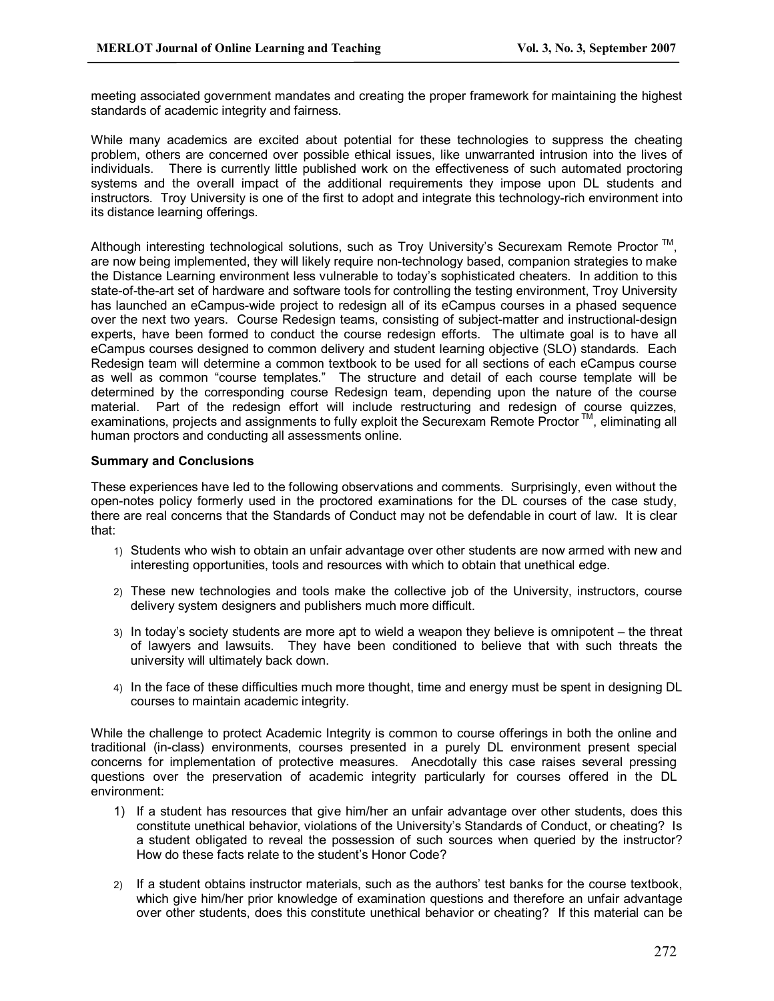meeting associated government mandates and creating the proper framework for maintaining the highest standards of academic integrity and fairness.

While many academics are excited about potential for these technologies to suppress the cheating problem, others are concerned over possible ethical issues, like unwarranted intrusion into the lives of individuals. There is currently little published work on the effectiveness of such automated proctoring systems and the overall impact of the additional requirements they impose upon DL students and instructors. Troy University is one of the first to adopt and integrate this technology-rich environment into its distance learning offerings.

Although interesting technological solutions, such as Troy University's Securexam Remote Proctor ™, are now being implemented, they will likely require non-technology based, companion strategies to make the Distance Learning environment less vulnerable to today's sophisticated cheaters. In addition to this state-of-the-art set of hardware and software tools for controlling the testing environment, Troy University has launched an eCampus-wide project to redesign all of its eCampus courses in a phased sequence over the next two years. Course Redesign teams, consisting of subject-matter and instructional-design experts, have been formed to conduct the course redesign efforts. The ultimate goal is to have all eCampus courses designed to common delivery and student learning objective (SLO) standards. Each Redesign team will determine a common textbook to be used for all sections of each eCampus course as well as common "course templates." The structure and detail of each course template will be determined by the corresponding course Redesign team, depending upon the nature of the course material. Part of the redesign effort will include restructuring and redesign of course quizzes, examinations, projects and assignments to fully exploit the Securexam Remote Proctor™, eliminating all human proctors and conducting all assessments online.

### **Summary and Conclusions**

These experiences have led to the following observations and comments. Surprisingly, even without the open-notes policy formerly used in the proctored examinations for the DL courses of the case study, there are real concerns that the Standards of Conduct may not be defendable in court of law. It is clear that:

- 1) Students who wish to obtain an unfair advantage over other students are now armed with new and interesting opportunities, tools and resources with which to obtain that unethical edge.
- 2) These new technologies and tools make the collective job of the University, instructors, course delivery system designers and publishers much more difficult.
- 3) In today's society students are more apt to wield a weapon they believe is omnipotent the threat of lawyers and lawsuits. They have been conditioned to believe that with such threats the university will ultimately back down.
- 4) In the face of these difficulties much more thought, time and energy must be spent in designing DL courses to maintain academic integrity.

While the challenge to protect Academic Integrity is common to course offerings in both the online and traditional (in-class) environments, courses presented in a purely DL environment present special concerns for implementation of protective measures. Anecdotally this case raises several pressing questions over the preservation of academic integrity particularly for courses offered in the DL environment:

- 1) If a student has resources that give him/her an unfair advantage over other students, does this constitute unethical behavior, violations of the University's Standards of Conduct, or cheating? Is a student obligated to reveal the possession of such sources when queried by the instructor? How do these facts relate to the student's Honor Code?
- 2) If a student obtains instructor materials, such as the authors' test banks for the course textbook, which give him/her prior knowledge of examination questions and therefore an unfair advantage over other students, does this constitute unethical behavior or cheating? If this material can be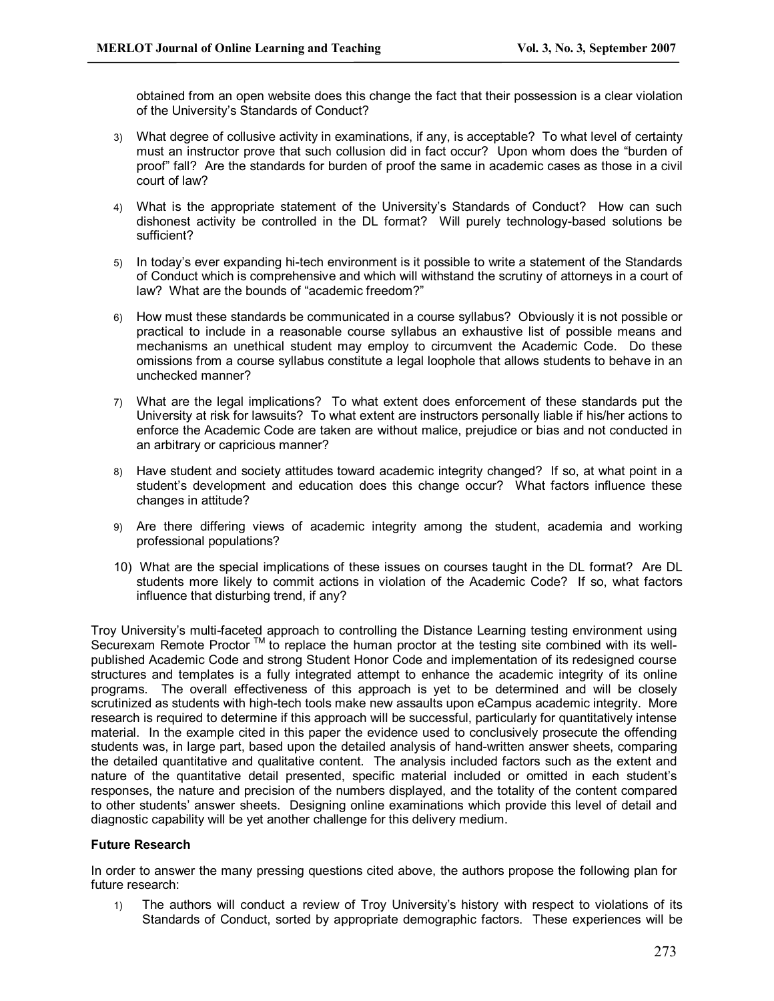obtained from an open website does this change the fact that their possession is a clear violation of the University's Standards of Conduct?

- 3) What degree of collusive activity in examinations, if any, is acceptable? To what level of certainty must an instructor prove that such collusion did in fact occur? Upon whom does the "burden of proof" fall? Are the standards for burden of proof the same in academic cases as those in a civil court of law?
- 4) What is the appropriate statement of the University's Standards of Conduct? How can such dishonest activity be controlled in the DL format? Will purely technology-based solutions be sufficient?
- 5) In today's ever expanding hi-tech environment is it possible to write a statement of the Standards of Conduct which is comprehensive and which will withstand the scrutiny of attorneys in a court of law? What are the bounds of "academic freedom?"
- 6) How must these standards be communicated in a course syllabus? Obviously it is not possible or practical to include in a reasonable course syllabus an exhaustive list of possible means and mechanisms an unethical student may employ to circumvent the Academic Code. Do these omissions from acourse syllabus constitute a legal loophole that allows students to behave in an unchecked manner?
- 7) What are the legal implications? To what extent does enforcement of these standards put the University at risk for lawsuits? To what extent are instructors personally liable if his/her actions to enforce the Academic Code are taken are without malice, prejudice or bias and not conducted in an arbitrary or capricious manner?
- 8) Have student and society attitudes toward academic integrity changed? If so, at what point in a student's development and education does this change occur? What factors influence these changes in attitude?
- 9) Are there differing views of academic integrity among the student, academia and working professional populations?
- 10) What are the special implications of these issues on courses taught in the DL format? Are DL students more likely to commit actions in violation of the Academic Code? If so, what factors influence that disturbing trend, if any?

Troy University's multi-faceted approach to controlling the Distance Learning testing environment using Securexam Remote Proctor ™ to replace the human proctor at the testing site combined with its wellpublished Academic Code and strong Student Honor Code and implementation of its redesigned course structures and templates is a fully integrated attempt to enhance the academic integrity of its online programs. The overall effectiveness of this approach is yet to be determined and will be closely scrutinized as students with high-tech tools make new assaults upon eCampus academic integrity. More research is required to determine if this approach will be successful, particularly for quantitatively intense material. In the example cited in this paper the evidence used to conclusively prosecute the offending students was, in large part, based upon the detailed analysis of hand-written answer sheets, comparing the detailed quantitative and qualitative content. The analysis included factors such as the extent and nature of the quantitative detail presented, specific material included or omitted in each student's responses, the nature and precision of the numbers displayed, and the totality of the content compared to other students' answer sheets. Designing online examinations which provide this level of detail and diagnostic capability will be yet another challenge for this delivery medium.

### **Future Research**

In order to answer the many pressing questions cited above, the authors propose the following plan for future research:

1) The authors will conduct a review of Troy University's history with respect to violations of its Standards of Conduct, sorted by appropriate demographic factors. These experiences will be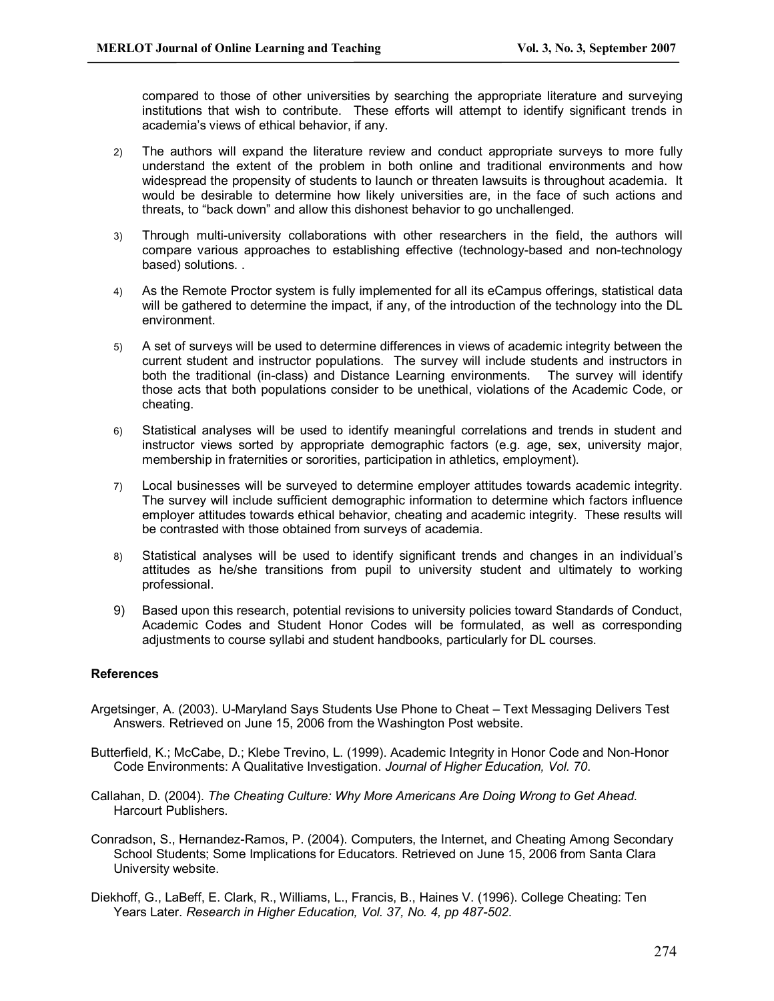compared to those of other universities by searching the appropriate literature and surveying institutions that wish to contribute. These efforts will attempt to identify significant trends in academia's views of ethical behavior, if any.

- 2) The authors will expand the literature review and conduct appropriate surveys to more fully understand the extent of the problem in both online and traditional environments and how widespread the propensity of students to launch or threaten lawsuits is throughout academia. It would be desirable to determine how likely universities are, in the face of such actions and threats, to "back down" and allow this dishonest behavior to go unchallenged.
- 3) Through multi-university collaborations with other researchers in the field, the authors will compare various approaches to establishing effective (technology-based and non-technology based) solutions. .
- 4) As the Remote Proctor system is fully implemented for all its eCampus offerings, statistical data will be gathered to determine the impact, if any, of the introduction of the technology into the DL environment.
- 5) A set of surveys will be used to determine differences in views of academic integrity between the current student and instructor populations. The survey will include students and instructors in both the traditional (in-class) and Distance Learning environments. The survey will identify those acts that both populations consider to be unethical, violations of the Academic Code, or cheating.
- 6) Statistical analyses will be used to identify meaningful correlations and trends in student and instructor views sorted by appropriate demographic factors (e.g. age, sex, university major, membership in fraternities or sororities, participation in athletics, employment).
- 7) Local businesses will be surveyed to determine employer attitudes towards academic integrity. The survey will include sufficient demographic information to determine which factors influence employer attitudes towards ethical behavior, cheating and academic integrity. These results will be contrasted with those obtained from surveys of academia.
- 8) Statistical analyses will be used to identify significant trends and changes in an individual's attitudes as he/she transitions from pupil to university student and ultimately to working professional.
- 9) Based upon this research, potential revisions to university policies toward Standards of Conduct, Academic Codes and Student Honor Codes will be formulated, as well as corresponding adjustments to course syllabi and student handbooks, particularly for DL courses.

## **References**

- Argetsinger, A. (2003). U-Maryland Says Students Use Phone to Cheat Text Messaging Delivers Test Answers. Retrieved on June 15, 2006 from the Washington Post website.
- Butterfield, K.; McCabe, D.; Klebe Trevino, L. (1999). Academic Integrity in Honor Code and Non-Honor Code Environments: A Qualitative Investigation. *Journal of Higher Education, Vol. 70*.
- Callahan, D. (2004). *The Cheating Culture: Why More Americans Are Doing Wrong to Get Ahead.* Harcourt Publishers.
- Conradson, S., Hernandez-Ramos, P. (2004). Computers, the Internet, and Cheating Among Secondary School Students; Some Implications for Educators. Retrieved on June 15, 2006 from Santa Clara University website.
- Diekhoff, G., LaBeff, E. Clark, R., Williams, L., Francis, B., Haines V. (1996). College Cheating: Ten Years Later. *Research in Higher Education, Vol.* 37, No. 4, pp 487-502.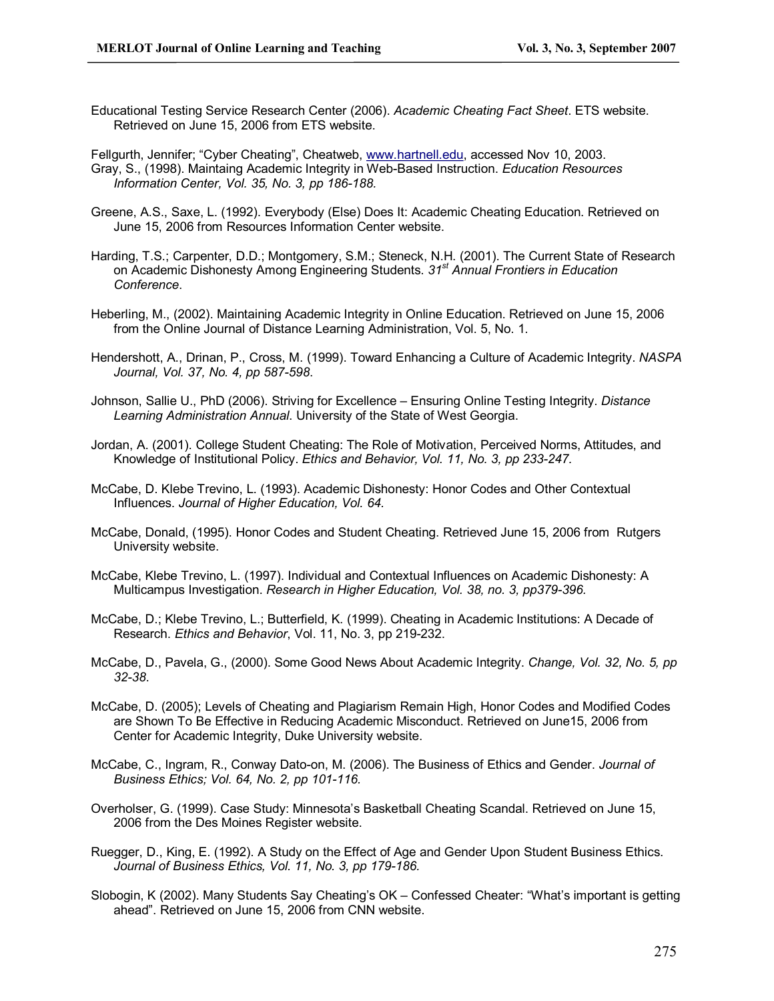- Educational Testing Service Research Center (2006). *Academic Cheating Fact Sheet*. ETS website. Retrieved on June 15, 2006 from ETS website.
- Fellgurth, Jennifer; "Cyber Cheating", Cheatweb, [www.hartnell.edu,](http://www.hartnell.edu/) accessed Nov 10, 2003. Gray, S., (1998). Maintaing Academic Integrity in Web-Based Instruction. *Education Resources Information Center, Vol.* 35, No. 3, pp 186-188.
- Greene, A.S., Saxe, L. (1992). Everybody (Else) Does It: Academic Cheating Education. Retrieved on June 15, 2006 from Resources Information Center website.
- Harding, T.S.; Carpenter, D.D.; Montgomery, S.M.; Steneck, N.H. (2001). The Current State of Research on Academic Dishonesty Among Engineering Students. *31 st Annual Frontiers in Education Conference*.
- Heberling, M., (2002). Maintaining Academic Integrity in Online Education. Retrieved on June 15, 2006 from the Online Journal of Distance Learning Administration, Vol. 5, No. 1.
- Hendershott, A., Drinan, P., Cross, M. (1999). Toward Enhancing a Culture of Academic Integrity. *NASPA Journal, Vol.* 37, No. 4, pp 587-598.
- Johnson, Sallie U., PhD (2006). Striving for Excellence Ensuring Online Testing Integrity. *Distance Learning Administration Annual*. University of the State of West Georgia.
- Jordan, A. (2001). College Student Cheating: The Role of Motivation, Perceived Norms, Attitudes, and Knowledge of Institutional Policy. *Ethics and Behavior, Vol. 11, No. 3, pp 233247.*
- McCabe, D. Klebe Trevino, L. (1993). Academic Dishonesty: Honor Codes and Other Contextual Influences. *Journal of Higher Education, Vol. 64.*
- McCabe, Donald, (1995). Honor Codes and Student Cheating. Retrieved June 15, 2006 from Rutgers University website.
- McCabe, Klebe Trevino, L. (1997). Individual and Contextual Influences on Academic Dishonesty: A Multicampus Investigation. *Research in Higher Education, Vol. 38, no. 3, pp379396.*
- McCabe, D.; Klebe Trevino, L.; Butterfield, K. (1999). Cheating in Academic Institutions: A Decade of Research. *Ethics and Behavior*, Vol. 11, No. 3, pp 219-232.
- McCabe, D., Pavela, G., (2000). Some Good News About Academic Integrity. *Change, Vol. 32, No. 5, pp 3238*.
- McCabe, D. (2005); Levels of Cheating and Plagiarism Remain High, Honor Codes and Modified Codes are Shown To Be Effective in Reducing Academic Misconduct. Retrieved on June15, 2006 from Center for Academic Integrity, Duke University website.
- McCabe, C., Ingram, R., Conway Dato-on, M. (2006). The Business of Ethics and Gender. *Journal of Business Ethics; Vol. 64, No. 2, pp 101116.*
- Overholser, G. (1999). Case Study: Minnesota's Basketball Cheating Scandal. Retrieved on June 15, 2006 from the Des Moines Register website.
- Ruegger, D., King, E. (1992). A Study on the Effect of Age and Gender Upon Student Business Ethics. *Journal of Business Ethics, Vol. 11, No. 3, pp 179186.*
- Slobogin, K (2002). Many Students Say Cheating's OK Confessed Cheater: "What's important is getting ahead". Retrieved on June 15, 2006 from CNN website.